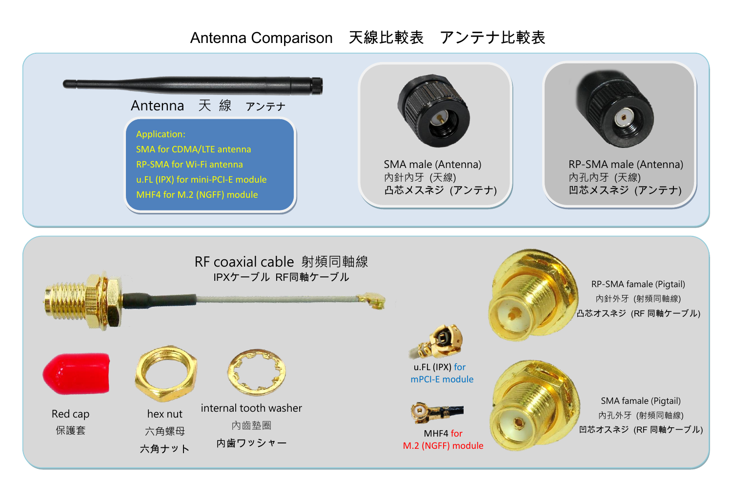## Antenna Comparison 天線比較表 アンテナ比較表

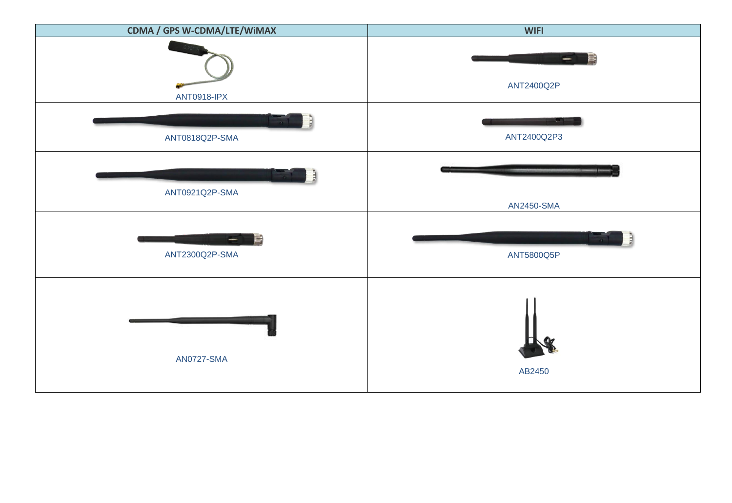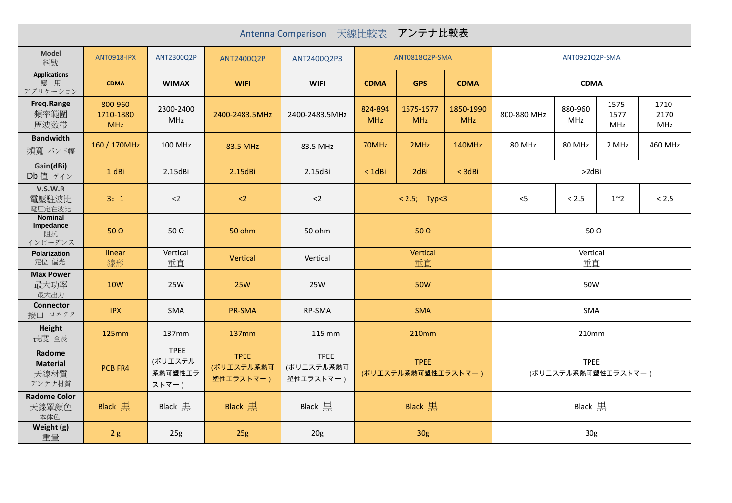| Antenna Comparison 天線比較表 アンテナ比較表             |                                    |                                            |                                        |                                        |                                          |                         |                                    |             |                       |                      |                      |
|----------------------------------------------|------------------------------------|--------------------------------------------|----------------------------------------|----------------------------------------|------------------------------------------|-------------------------|------------------------------------|-------------|-----------------------|----------------------|----------------------|
| <b>Model</b><br>料號                           | <b>ANT0918-IPX</b>                 | ANT2300Q2P                                 | ANT2400Q2P                             | ANT2400Q2P3                            | ANT0818Q2P-SMA                           |                         | ANT0921Q2P-SMA                     |             |                       |                      |                      |
| <b>Applications</b><br>應 用<br>アプリケーション       | <b>CDMA</b>                        | <b>WIMAX</b>                               | <b>WIFI</b>                            | <b>WIFI</b>                            | <b>CDMA</b><br><b>GPS</b><br><b>CDMA</b> |                         | <b>CDMA</b>                        |             |                       |                      |                      |
| Freq.Range<br>頻率範圍<br>周波数帯                   | 800-960<br>1710-1880<br><b>MHz</b> | 2300-2400<br>MHz                           | 2400-2483.5MHz                         | 2400-2483.5MHz                         | 824-894<br><b>MHz</b>                    | 1575-1577<br><b>MHz</b> | 1850-1990<br><b>MHz</b>            | 800-880 MHz | 880-960<br><b>MHz</b> | 1575-<br>1577<br>MHz | 1710-<br>2170<br>MHz |
| <b>Bandwidth</b><br>頻寬 バンド幅                  | 160 / 170MHz                       | 100 MHz                                    | 83.5 MHz                               | 83.5 MHz                               | 70MHz                                    | 2MHz                    | 140MHz                             | 80 MHz      | 80 MHz                | 2 MHz                | 460 MHz              |
| Gain(dBi)<br>Db 值 ゲイン                        | 1 dBi                              | 2.15dBi                                    | $2.15$ dBi                             | 2.15dBi                                | $<$ 1dBi                                 | 2dBi                    | $<$ 3dBi                           | >2dBi       |                       |                      |                      |
| V.S.W.R<br>電壓駐波比<br>電圧定在波比                   | 3:1                                | $<$ 2                                      | $\langle$ 2                            | $2$                                    | $< 2.5;$ Typ<3                           |                         | $<$ 5                              | < 2.5       | $1^{\sim}2$           | < 2.5                |                      |
| <b>Nominal</b><br>Impedance<br>阻抗<br>インピーダンス | 50 $\Omega$                        | 50 $\Omega$                                | 50 ohm                                 | 50 ohm                                 | 50 $\Omega$                              |                         |                                    | 50 $\Omega$ |                       |                      |                      |
| Polarization<br>定位 偏光                        | linear<br>線形                       | Vertical<br>垂直                             | Vertical                               | Vertical                               | Vertical<br>垂直                           |                         | Vertical<br>垂直                     |             |                       |                      |                      |
| <b>Max Power</b><br>最大功率<br>最大出力             | <b>10W</b>                         | <b>25W</b>                                 | <b>25W</b>                             | 25W                                    | <b>50W</b>                               |                         | 50W                                |             |                       |                      |                      |
| <b>Connector</b><br>接口 コネクタ                  | <b>IPX</b>                         | SMA                                        | PR-SMA                                 | RP-SMA                                 | <b>SMA</b>                               |                         | SMA                                |             |                       |                      |                      |
| Height<br>長度 全長                              | 125mm                              | 137 <sub>mm</sub>                          | <b>137mm</b>                           | 115 mm                                 | 210mm                                    |                         | 210mm                              |             |                       |                      |                      |
| Radome<br><b>Material</b><br>天線材質<br>アンテナ材質  | PCB FR4                            | <b>TPEE</b><br>(ポリエステル<br>系熱可塑性エラ<br>ストマー) | <b>TPEE</b><br>(ポリエステル系熱可<br>塑性エラストマー) | <b>TPEE</b><br>(ポリエステル系熱可<br>塑性エラストマー) | <b>TPEE</b><br>(ポリエステル系熱可塑性エラストマー)       |                         | <b>TPEE</b><br>(ポリエステル系熱可塑性エラストマー) |             |                       |                      |                      |
| <b>Radome Color</b><br>天線罩顏色<br>本体色          | <b>Black</b> 黒                     | Black 黒                                    | Black $\mathbb{R}$                     | Black 黒                                | Black 黒                                  |                         | Black 黒                            |             |                       |                      |                      |
| Weight (g)<br>重量                             | 2g                                 | 25g                                        | 25g                                    | 20g                                    | 30g                                      |                         | 30 <sub>g</sub>                    |             |                       |                      |                      |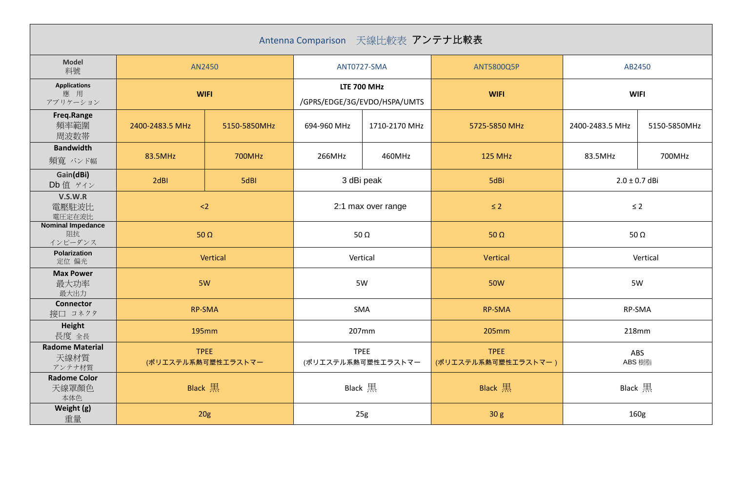| Antenna Comparison 天線比較表 アンテナ比較表          |                                   |              |                                                    |               |                                    |                   |              |
|-------------------------------------------|-----------------------------------|--------------|----------------------------------------------------|---------------|------------------------------------|-------------------|--------------|
| <b>Model</b><br>料號                        | AN2450                            |              | ANT0727-SMA                                        |               | ANT5800Q5P                         | AB2450            |              |
| <b>Applications</b><br>應 用<br>アプリケーション    | <b>WIFI</b>                       |              | <b>LTE 700 MHz</b><br>/GPRS/EDGE/3G/EVDO/HSPA/UMTS |               | <b>WIFI</b>                        | <b>WIFI</b>       |              |
| Freq.Range<br>頻率範圍<br>周波数帯                | 2400-2483.5 MHz                   | 5150-5850MHz | 694-960 MHz                                        | 1710-2170 MHz | 5725-5850 MHz                      | 2400-2483.5 MHz   | 5150-5850MHz |
| <b>Bandwidth</b><br>頻寬 バンド幅               | 83.5MHz                           | 700MHz       | 266MHz                                             | 460MHz        | <b>125 MHz</b>                     | 83.5MHz           | 700MHz       |
| Gain(dBi)<br>Db 值 ゲイン                     | 2dBI                              | 5dBI         | 3 dBi peak                                         |               | 5dBi                               | $2.0 \pm 0.7$ dBi |              |
| V.S.W.R<br>電壓駐波比<br>電圧定在波比                | $2$                               |              | 2:1 max over range                                 |               | $\leq$ 2                           | $\leq 2$          |              |
| <b>Nominal Impedance</b><br>阻抗<br>インピーダンス | 50 $\Omega$                       |              | 50 $\Omega$                                        |               | 50 $\Omega$                        | 50 $\Omega$       |              |
| Polarization<br>定位 偏光                     | Vertical                          |              | Vertical                                           |               | Vertical                           | Vertical          |              |
| <b>Max Power</b><br>最大功率<br>最大出力          | 5W                                |              | 5W                                                 |               | <b>50W</b>                         | 5W                |              |
| <b>Connector</b><br>接口 コネクタ               | <b>RP-SMA</b>                     |              | SMA                                                |               | <b>RP-SMA</b>                      | RP-SMA            |              |
| Height<br>長度 全長                           | 195mm                             |              | 207mm                                              |               | 205mm<br>218mm                     |                   |              |
| <b>Radome Material</b><br>天線材質<br>アンテナ材質  | <b>TPEE</b><br>(ポリエステル系熱可塑性エラストマー |              | <b>TPEE</b><br>(ポリエステル系熱可塑性エラストマー                  |               | <b>TPEE</b><br>(ポリエステル系熱可塑性エラストマー) | ABS<br>ABS 樹脂     |              |
| <b>Radome Color</b><br>天線罩顏色<br>本体色       | Black 黒                           |              | Black 黒                                            |               | Black $\mathbb{R}$                 | Black 黒           |              |
| Weight (g)<br>重量                          | 20 <sub>g</sub>                   |              | 25g                                                |               | 30 <sub>g</sub>                    | 160g              |              |